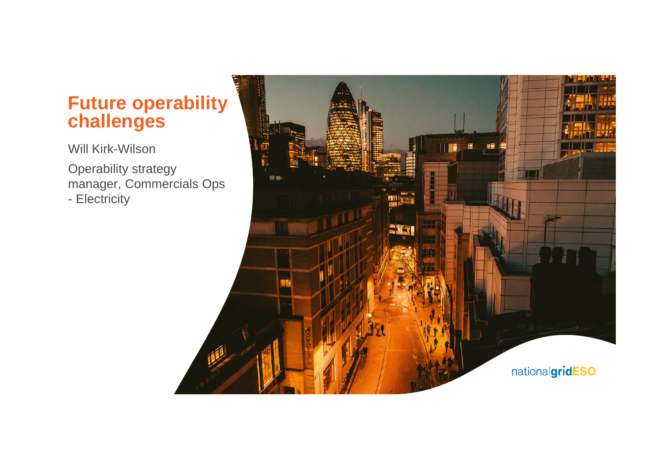## **Future operability challenges**

Will Kirk-Wilson

Operability strategy manager, Commercials Ops - Electricity

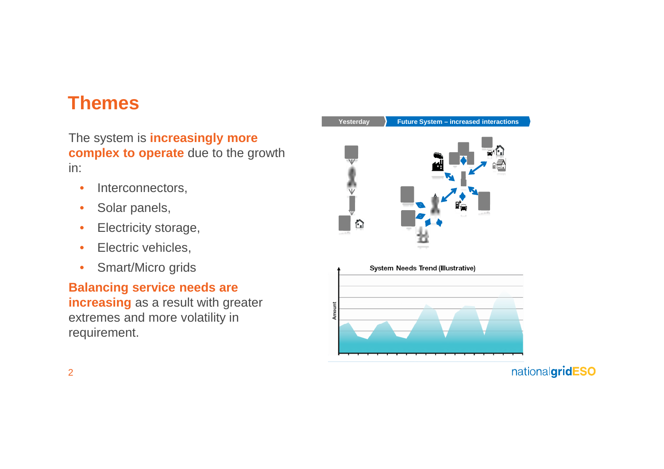## **Themes**

The system is **increasingly more complex to operate** due to the growth in:

- Interconnectors,
- Solar panels,
- Electricity storage,
- Electric vehicles,
- Smart/Micro grids

**Balancing service needs are increasing** as a result with greater extremes and more volatility in requirement.

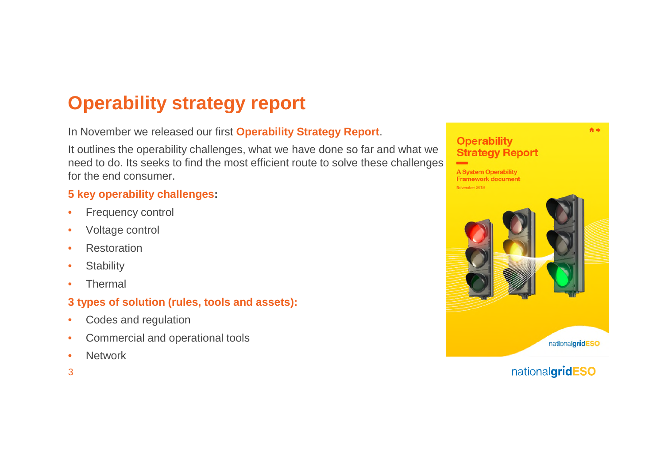# **Operability strategy report**

#### In November we released our first **Operability Strategy Report**.

It outlines the operability challenges, what we have done so far and what we need to do. Its seeks to find the most efficient route to solve these challenges for the end consumer.

#### **5 key operability challenges:**

- Frequency control
- Voltage control
- Restoration
- Stability
- Thermal

### **3 types of solution (rules, tools and assets):**

- Codes and regulation
- Commercial and operational tools
- Network
- 3

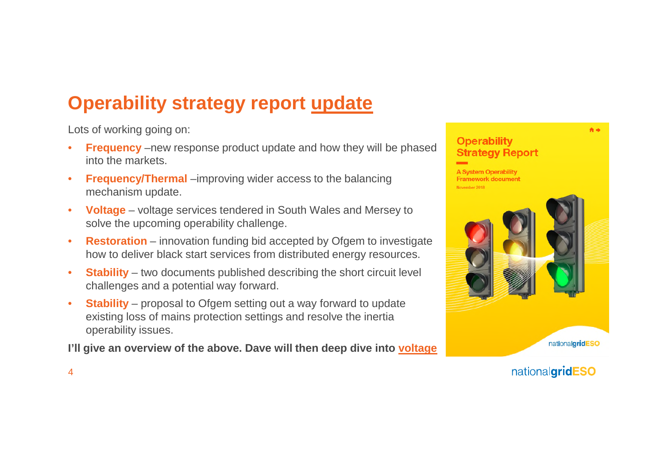# **Operability strategy report update**

Lots of working going on:

- **Frequency** –new response product update and how they will be phased into the markets.
- **Frequency/Thermal** –improving wider access to the balancing mechanism update.
- **Voltage** voltage services tendered in South Wales and Mersey to solve the upcoming operability challenge.
- **Restoration** innovation funding bid accepted by Ofgem to investigate how to deliver black start services from distributed energy resources.
- **Stability** two documents published describing the short circuit level challenges and a potential way forward.
- **Stability** proposal to Ofgem setting out a way forward to update existing loss of mains protection settings and resolve the inertia operability issues.

**I'll give an overview of the above. Dave will then deep dive into voltage**



nationalgridESO

4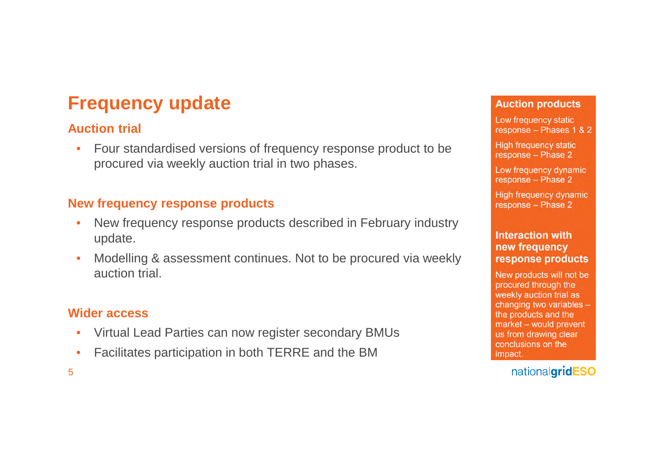# **Frequency update**

### **Auction trial**

• Four standardised versions of frequency response product to be procured via weekly auction trial in two phases.

### **New frequency response products**

- New frequency response products described in February industry update.
- Modelling & assessment continues. Not to be procured via weekly auction trial.

### **Wider access**

- Virtual Lead Parties can now register secondary BMUs
- Facilitates participation in both TERRE and the BM

#### **Auction products**

Low frequency static response - Phases 1 & 2

High frequency static response - Phase 2

Low frequency dynamic response - Phase 2

High frequency dynamic response - Phase 2

#### **Interaction with** new frequency response products

New products will not be procured through the weekly auction trial as changing two variables the products and the market - would prevent us from drawing clear conclusions on the impact.

nationalgridESO

5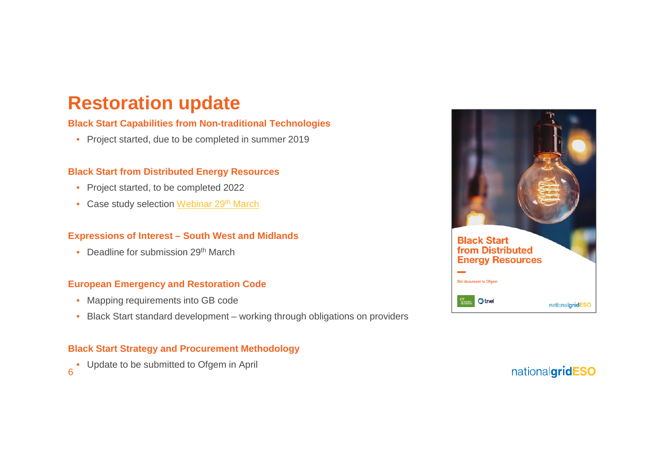## **Restoration update**

#### **Black Start Capabilities from Non-traditional Technologies**

• Project started, due to be completed in summer 2019

#### **Black Start from Distributed Energy Resources**

- Project started, to be completed 2022
- Case study selection Webinar 29<sup>th</sup> March

#### **Expressions of Interest – South West and Midlands**

• Deadline for submission 29<sup>th</sup> March

#### **European Emergency and Restoration Code**

- Mapping requirements into GB code
- Black Start standard development working through obligations on providers

#### **Black Start Strategy and Procurement Methodology**

6 • Update to be submitted to Ofgem in April

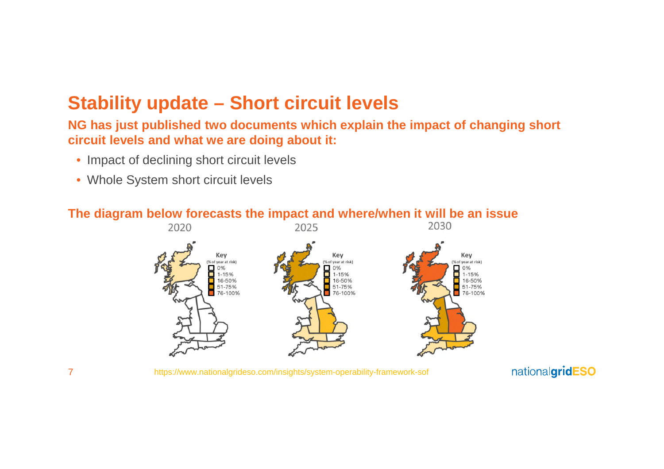## **Stability update – Short circuit levels**

### **NG has just published two documents which explain the impact of changing short circuit levels and what we are doing about it:**

- Impact of declining short circuit levels
- Whole System short circuit levels



### **The diagram below forecasts the impact and where/when it will be an issue**

https://www.nationalgrideso.com/insights/system-operability-framework-sof

nationalgridESO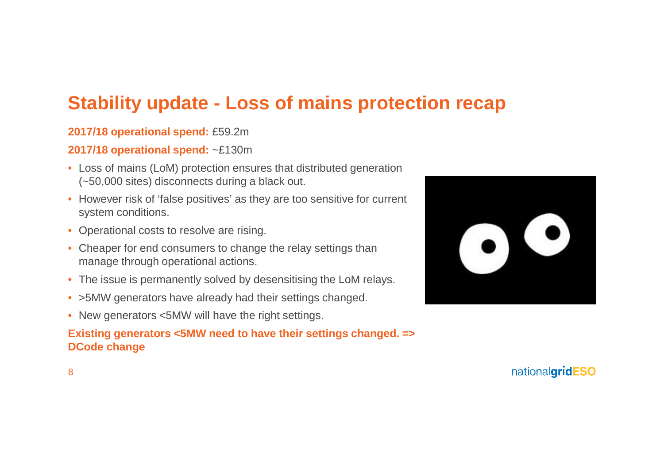# **Stability update - Loss of mains protection recap**

### **2017/18 operational spend:** £59.2m

### **2017/18 operational spend:** ~£130m

- Loss of mains (LoM) protection ensures that distributed generation (~50,000 sites) disconnects during a black out.
- However risk of 'false positives' as they are too sensitive for current system conditions.
- Operational costs to resolve are rising.
- Cheaper for end consumers to change the relay settings than manage through operational actions.
- The issue is permanently solved by desensitising the LoM relays.
- >5MW generators have already had their settings changed.
- New generators <5MW will have the right settings.

### **Existing generators <5MW need to have their settings changed. => DCode change**

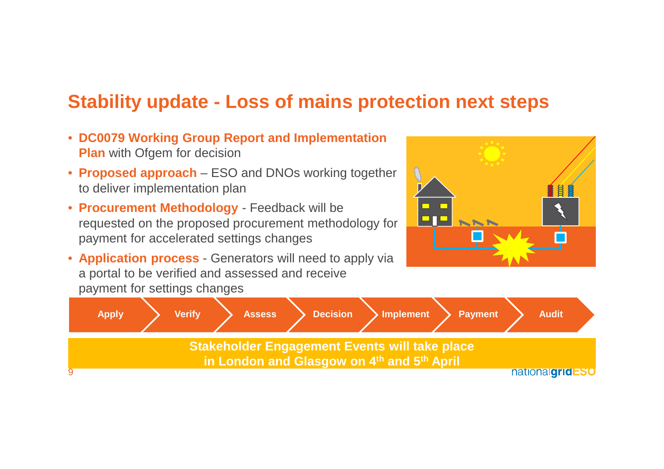## **Stability update - Loss of mains protection next steps**

- **DC0079 Working Group Report and Implementation Plan** with Ofgem for decision
- **Proposed approach** ESO and DNOs working together to deliver implementation plan
- **Procurement Methodology** Feedback will be requested on the proposed procurement methodology for payment for accelerated settings changes
- **Application process** Generators will need to apply via a portal to be verified and assessed and receive payment for settings changes



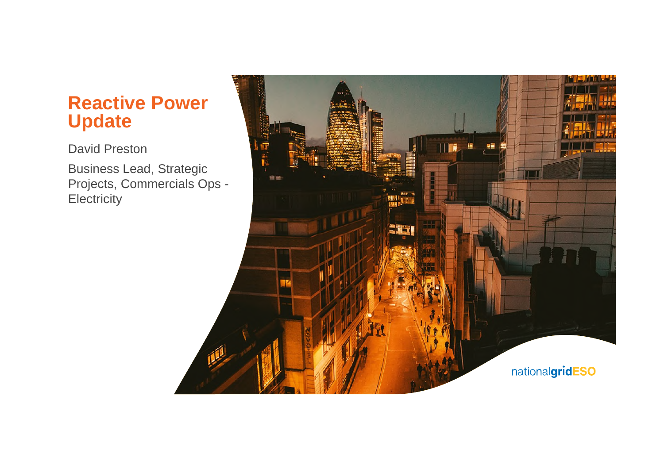## **Reactive Power Update**

David Preston

Business Lead, Strategic Projects, Commercials Ops - **Electricity** 

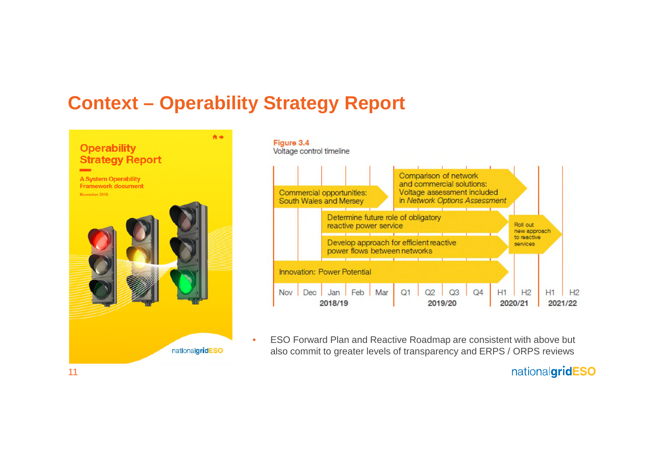## **Context – Operability Strategy Report**





• ESO Forward Plan and Reactive Roadmap are consistent with above but also commit to greater levels of transparency and ERPS / ORPS reviews

nationalgridESO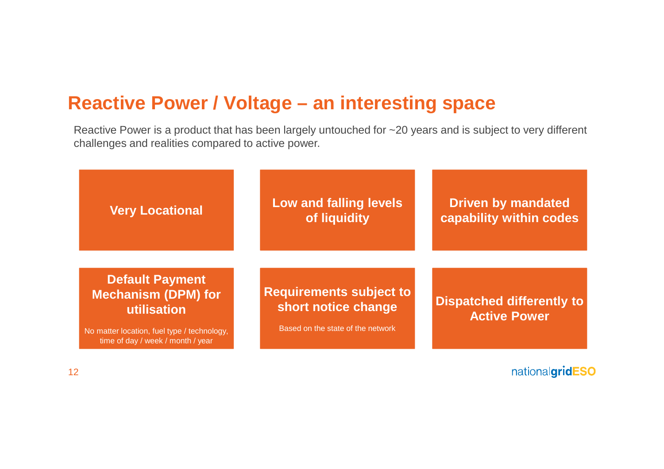# **Reactive Power / Voltage – an interesting space**

Reactive Power is a product that has been largely untouched for ~20 years and is subject to very different challenges and realities compared to active power.

| <b>Very Locational</b>                                                                                                                                  | Low and falling levels<br>of liquidity                                                     | <b>Driven by mandated</b><br>capability within codes    |
|---------------------------------------------------------------------------------------------------------------------------------------------------------|--------------------------------------------------------------------------------------------|---------------------------------------------------------|
| <b>Default Payment</b><br><b>Mechanism (DPM) for</b><br>utilisation<br>No matter location, fuel type / technology,<br>time of day / week / month / year | <b>Requirements subject to</b><br>short notice change<br>Based on the state of the network | <b>Dispatched differently to</b><br><b>Active Power</b> |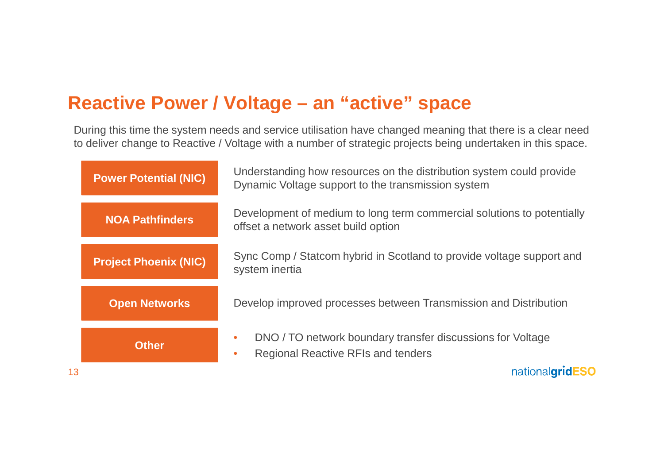# **Reactive Power / Voltage – an "active" space**

During this time the system needs and service utilisation have changed meaning that there is a clear need to deliver change to Reactive / Voltage with a number of strategic projects being undertaken in this space.

|    | <b>Power Potential (NIC)</b> | Understanding how resources on the distribution system could provide<br>Dynamic Voltage support to the transmission system                                  |  |
|----|------------------------------|-------------------------------------------------------------------------------------------------------------------------------------------------------------|--|
|    | <b>NOA Pathfinders</b>       | Development of medium to long term commercial solutions to potentially<br>offset a network asset build option                                               |  |
|    | <b>Project Phoenix (NIC)</b> | Sync Comp / Statcom hybrid in Scotland to provide voltage support and<br>system inertia<br>Develop improved processes between Transmission and Distribution |  |
|    | <b>Open Networks</b>         |                                                                                                                                                             |  |
|    | <b>Other</b>                 | DNO / TO network boundary transfer discussions for Voltage<br><b>Regional Reactive RFIs and tenders</b>                                                     |  |
| 13 |                              | nationalgridl                                                                                                                                               |  |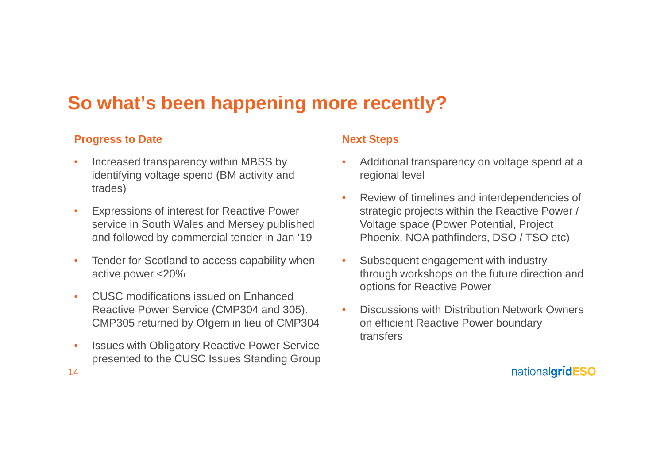# **So what's been happening more recently?**

### **Progress to Date**

- Increased transparency within MBSS by identifying voltage spend (BM activity and trades)
- Expressions of interest for Reactive Power service in South Wales and Mersey published and followed by commercial tender in Jan '19
- Tender for Scotland to access capability when active power <20%
- CUSC modifications issued on Enhanced Reactive Power Service (CMP304 and 305). CMP305 returned by Ofgem in lieu of CMP304
- Issues with Obligatory Reactive Power Service presented to the CUSC Issues Standing Group

#### **Next Steps**

- Additional transparency on voltage spend at a regional level
- Review of timelines and interdependencies of strategic projects within the Reactive Power / Voltage space (Power Potential, Project Phoenix, NOA pathfinders, DSO / TSO etc)
- Subsequent engagement with industry through workshops on the future direction and options for Reactive Power
- Discussions with Distribution Network Owners on efficient Reactive Power boundary transfers

nationalgridESO

14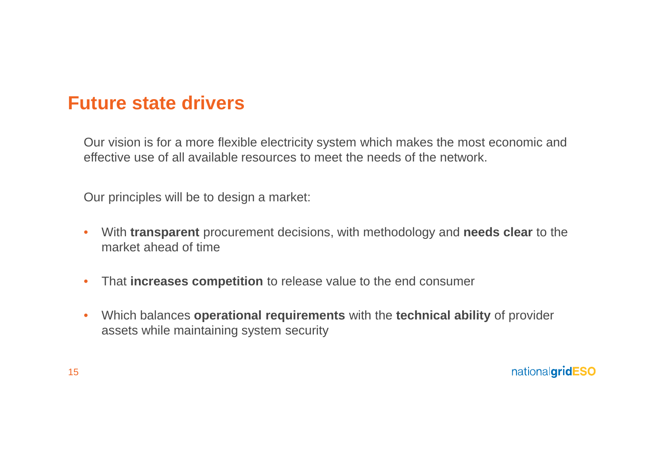## **Future state drivers**

Our vision is for a more flexible electricity system which makes the most economic and effective use of all available resources to meet the needs of the network.

Our principles will be to design a market:

- With **transparent** procurement decisions, with methodology and **needs clear** to the market ahead of time
- That **increases competition** to release value to the end consumer
- Which balances **operational requirements** with the **technical ability** of provider assets while maintaining system security